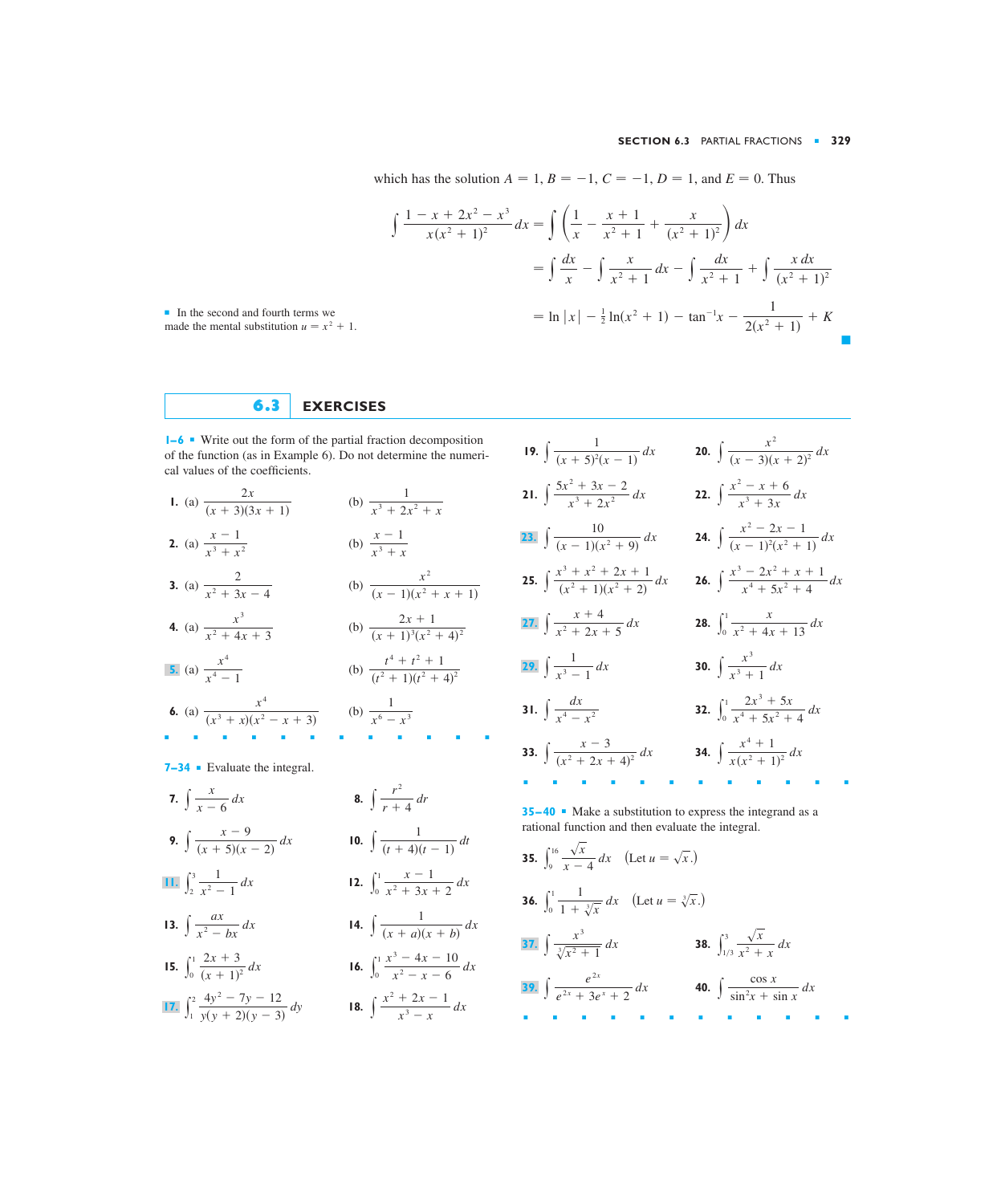which has the solution  $A = 1, B = -1, C = -1, D = 1$ , and  $E = 0$ . Thus

$$
\int \frac{1 - x + 2x^2 - x^3}{x(x^2 + 1)^2} dx = \int \left( \frac{1}{x} - \frac{x + 1}{x^2 + 1} + \frac{x}{(x^2 + 1)^2} \right) dx
$$
  
= 
$$
\int \frac{dx}{x} - \int \frac{x}{x^2 + 1} dx - \int \frac{dx}{x^2 + 1} + \int \frac{x dx}{(x^2 + 1)^2}
$$
  
= 
$$
\ln |x| - \frac{1}{2} \ln(x^2 + 1) - \tan^{-1}x - \frac{1}{2(x^2 + 1)} + K
$$

■ In the second and fourth terms we made the mental substitution  $u = x^2 + 1$ .

## **6.3 EXERCISES**

**1–6** ■ Write out the form of the partial fraction decomposition of the function (as in Example 6). Do not determine the numerical values of the coefficients.

1. (a) 
$$
\frac{2x}{(x+3)(3x+1)}
$$
 (b)  $\frac{1}{x^3 + 2x^2 + x}$   
\n2. (a)  $\frac{x-1}{x^3 + x^2}$  (b)  $\frac{x-1}{x^3 + x}$   
\n3. (a)  $\frac{2}{x^2 + 3x - 4}$  (b)  $\frac{x^2}{(x-1)(x^2 + x + 1)}$   
\n4. (a)  $\frac{x^3}{x^2 + 4x + 3}$  (b)  $\frac{2x + 1}{(x+1)^3(x^2 + 4)^2}$   
\n5. (a)  $\frac{x^4}{x^4 - 1}$  (b)  $\frac{t^4 + t^2 + 1}{(t^2 + 1)(t^2 + 4)^2}$   
\n6. (a)  $\frac{x^4}{(x^3 + x)(x^2 - x + 3)}$  (b)  $\frac{1}{x^6 - x^3}$ 

**7–34** ■ Evaluate the integral.

**7.**  $\int \frac{x}{x-6} dx$  **8.**  $\int \frac{x-9}{(x+5)(x-2)} dx$  **10.**  $\int \frac{1}{(t+4)(t-1)} dt$  $\int \frac{x}{x-6} dx$  **8.**  $\int \frac{r^2}{r+4} dr$ 

9. 
$$
\int \frac{1}{(x+5)(x-2)} dx
$$
 10.

11. 
$$
\int_{2}^{3} \frac{1}{x^2 - 1} dx
$$
12. 
$$
\int_{0}^{1} \frac{x - 1}{x^2 + 3x + 2} dx
$$

**13.** 
$$
\int \frac{dx}{x^2 - bx} dx
$$
 **14.**  $\int \frac{1}{(x + a)(x + b)} dx$ 

**15.** 
$$
\int_0^1 \frac{2x+3}{(x+1)^2} dx
$$
  
**16.** 
$$
\int_0^1 \frac{x^3-4x-10}{x^2-x-6} dx
$$

17. 
$$
\int_{1}^{2} \frac{4y^{2} - 7y - 12}{y(y + 2)(y - 3)} dy
$$
 18. 
$$
\int \frac{x^{2} + 2x - 1}{x^{3} - x} dx
$$

19. 
$$
\int \frac{1}{(x+5)^2(x-1)} dx
$$
  
\n20.  $\int \frac{x^2}{(x-3)(x+2)^2} dx$   
\n21.  $\int \frac{5x^2 + 3x - 2}{x^3 + 2x^2} dx$   
\n22.  $\int \frac{x^2 - x + 6}{x^3 + 3x} dx$   
\n23.  $\int \frac{10}{(x-1)(x^2+9)} dx$   
\n24.  $\int \frac{x^2 - 2x - 1}{(x-1)^2(x^2+1)} dx$   
\n25.  $\int \frac{x^3 + x^2 + 2x + 1}{(x^2+1)(x^2+2)} dx$   
\n26.  $\int \frac{x^3 - 2x^2 + x + 1}{x^4 + 5x^2 + 4} dx$   
\n27.  $\int \frac{x+4}{x^2 + 2x + 5} dx$   
\n28.  $\int_0^1 \frac{x}{x^2 + 4x + 13} dx$   
\n29.  $\int \frac{1}{x^3 - 1} dx$   
\n30.  $\int \frac{x^3}{x^3 + 1} dx$   
\n31.  $\int \frac{dx}{x^4 - x^2}$   
\n32.  $\int_0^1 \frac{2x^3 + 5x}{x^4 + 5x^2 + 4} dx$   
\n33.  $\int \frac{x-3}{(x^2 + 2x + 4)^2} dx$   
\n34.  $\int \frac{x^4 + 1}{x(x^2 + 1)^2} dx$ 

**35–40** • Make a substitution to express the integrand as a rational function and then evaluate the integral.

**35.**  $\int_{9}^{16} \frac{\sqrt{x}}{x-4} dx$  (Let  $u = \sqrt{x}$ .) **36.**  $\int_0^1 \frac{1}{1 + \sqrt[3]{x}} dx$  (Let  $u = \sqrt[3]{x}$ .) **38.**  $\int_{1/2}^{3}$ **40.**  $\int \frac{\cos x}{\sin^2 x + \sin x} dx$  **40.**  $\int \frac{\cos x}{\sin^2 x + \sin x} dx$ ■■■■■■■■■■■■  $1/3$ **37.**  $\int \frac{x^3}{\sqrt[3]{x^2 + 1}} dx$  **38.**  $\int_{1/3}^3 \frac{\sqrt{x}}{x^2 + x} dx$ 1  $\int \frac{1}{1 + \sqrt[3]{x}} dx$  $\sqrt{x}$  $\int \frac{\sqrt{x}}{x-4} dx$